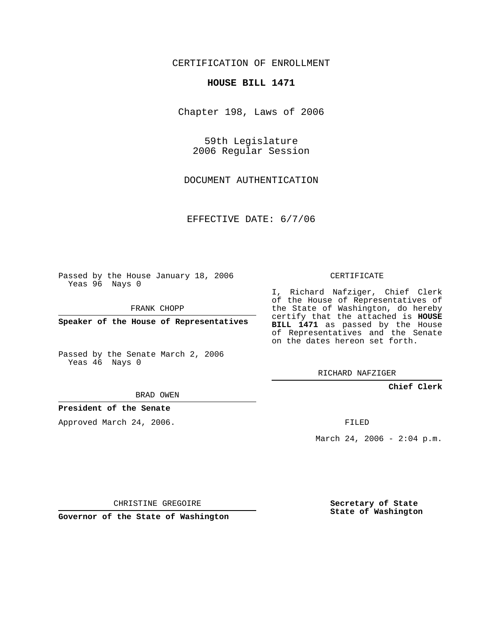CERTIFICATION OF ENROLLMENT

## **HOUSE BILL 1471**

Chapter 198, Laws of 2006

59th Legislature 2006 Regular Session

DOCUMENT AUTHENTICATION

EFFECTIVE DATE: 6/7/06

Passed by the House January 18, 2006 Yeas 96 Nays 0

FRANK CHOPP

**Speaker of the House of Representatives**

Passed by the Senate March 2, 2006 Yeas 46 Nays 0

I, Richard Nafziger, Chief Clerk of the House of Representatives of the State of Washington, do hereby certify that the attached is **HOUSE BILL 1471** as passed by the House of Representatives and the Senate on the dates hereon set forth.

CERTIFICATE

RICHARD NAFZIGER

**Chief Clerk**

BRAD OWEN

**President of the Senate**

Approved March 24, 2006.

FILED

March 24, 2006 -  $2:04$  p.m.

CHRISTINE GREGOIRE

**Governor of the State of Washington**

**Secretary of State State of Washington**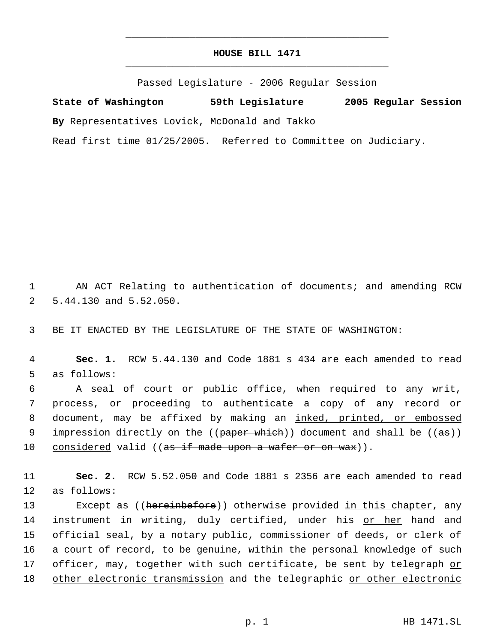## **HOUSE BILL 1471** \_\_\_\_\_\_\_\_\_\_\_\_\_\_\_\_\_\_\_\_\_\_\_\_\_\_\_\_\_\_\_\_\_\_\_\_\_\_\_\_\_\_\_\_\_

\_\_\_\_\_\_\_\_\_\_\_\_\_\_\_\_\_\_\_\_\_\_\_\_\_\_\_\_\_\_\_\_\_\_\_\_\_\_\_\_\_\_\_\_\_

Passed Legislature - 2006 Regular Session

**State of Washington 59th Legislature 2005 Regular Session By** Representatives Lovick, McDonald and Takko Read first time 01/25/2005. Referred to Committee on Judiciary.

 1 AN ACT Relating to authentication of documents; and amending RCW 2 5.44.130 and 5.52.050.

3 BE IT ENACTED BY THE LEGISLATURE OF THE STATE OF WASHINGTON:

 4 **Sec. 1.** RCW 5.44.130 and Code 1881 s 434 are each amended to read 5 as follows:

 6 A seal of court or public office, when required to any writ, 7 process, or proceeding to authenticate a copy of any record or 8 document, may be affixed by making an inked, printed, or embossed 9 impression directly on the ((paper which)) document and shall be ((as)) 10 considered valid (( $a\ddot{s}$  if made upon a wafer or on wax)).

11 **Sec. 2.** RCW 5.52.050 and Code 1881 s 2356 are each amended to read 12 as follows:

13 Except as ((hereinbefore)) otherwise provided in this chapter, any 14 instrument in writing, duly certified, under his or her hand and 15 official seal, by a notary public, commissioner of deeds, or clerk of 16 a court of record, to be genuine, within the personal knowledge of such 17 officer, may, together with such certificate, be sent by telegraph or 18 other electronic transmission and the telegraphic or other electronic